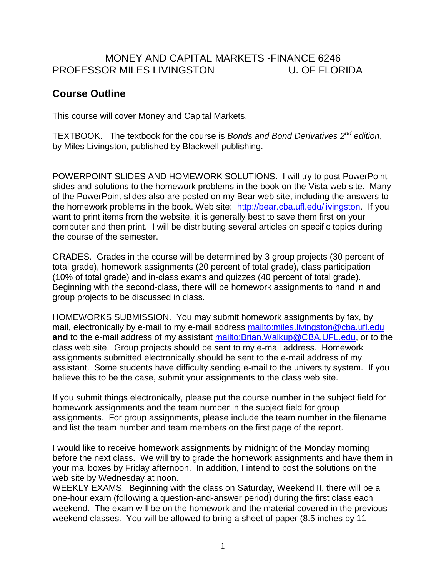## MONEY AND CAPITAL MARKETS -FINANCE 6246 PROFESSOR MILES LIVINGSTON U. OF FLORIDA

## **Course Outline**

This course will cover Money and Capital Markets.

TEXTBOOK. The textbook for the course is *Bonds and Bond Derivatives 2 nd edition*, by Miles Livingston, published by Blackwell publishing.

POWERPOINT SLIDES AND HOMEWORK SOLUTIONS. I will try to post PowerPoint slides and solutions to the homework problems in the book on the Vista web site. Many of the PowerPoint slides also are posted on my Bear web site, including the answers to the homework problems in the book. Web site: [http://bear.cba.ufl.edu/livingston.](http://bear.cba.ufl.edu/livingston) If you want to print items from the website, it is generally best to save them first on your computer and then print. I will be distributing several articles on specific topics during the course of the semester.

GRADES. Grades in the course will be determined by 3 group projects (30 percent of total grade), homework assignments (20 percent of total grade), class participation (10% of total grade) and in-class exams and quizzes (40 percent of total grade). Beginning with the second-class, there will be homework assignments to hand in and group projects to be discussed in class.

HOMEWORKS SUBMISSION. You may submit homework assignments by fax, by mail, electronically by e-mail to my e-mail address <mailto:miles.livingston@cba.ufl.edu> **and** to the e-mail address of my assistant [mailto:Brian.Walkup@CBA.UFL.edu,](mailto:Brian.Walkup@CBA.UFL.edu) or to the class web site. Group projects should be sent to my e-mail address. Homework assignments submitted electronically should be sent to the e-mail address of my assistant. Some students have difficulty sending e-mail to the university system. If you believe this to be the case, submit your assignments to the class web site.

If you submit things electronically, please put the course number in the subject field for homework assignments and the team number in the subject field for group assignments. For group assignments, please include the team number in the filename and list the team number and team members on the first page of the report.

I would like to receive homework assignments by midnight of the Monday morning before the next class. We will try to grade the homework assignments and have them in your mailboxes by Friday afternoon. In addition, I intend to post the solutions on the web site by Wednesday at noon.

WEEKLY EXAMS. Beginning with the class on Saturday, Weekend II, there will be a one-hour exam (following a question-and-answer period) during the first class each weekend. The exam will be on the homework and the material covered in the previous weekend classes. You will be allowed to bring a sheet of paper (8.5 inches by 11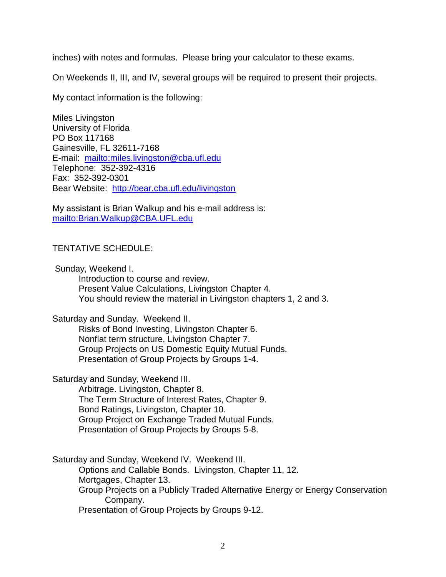inches) with notes and formulas. Please bring your calculator to these exams.

On Weekends II, III, and IV, several groups will be required to present their projects.

My contact information is the following:

Miles Livingston University of Florida PO Box 117168 Gainesville, FL 32611-7168 E-mail: <mailto:miles.livingston@cba.ufl.edu> Telephone: 352-392-4316 Fax: 352-392-0301 Bear Website: <http://bear.cba.ufl.edu/livingston>

My assistant is Brian Walkup and his e-mail address is: <mailto:Brian.Walkup@CBA.UFL.edu>

## TENTATIVE SCHEDULE:

Sunday, Weekend I.

Introduction to course and review. Present Value Calculations, Livingston Chapter 4. You should review the material in Livingston chapters 1, 2 and 3.

Saturday and Sunday. Weekend II.

Risks of Bond Investing, Livingston Chapter 6. Nonflat term structure, Livingston Chapter 7. Group Projects on US Domestic Equity Mutual Funds. Presentation of Group Projects by Groups 1-4.

Saturday and Sunday, Weekend III.

Arbitrage. Livingston, Chapter 8. The Term Structure of Interest Rates, Chapter 9. Bond Ratings, Livingston, Chapter 10. Group Project on Exchange Traded Mutual Funds. Presentation of Group Projects by Groups 5-8.

Saturday and Sunday, Weekend IV. Weekend III. Options and Callable Bonds. Livingston, Chapter 11, 12.

Mortgages, Chapter 13.

Group Projects on a Publicly Traded Alternative Energy or Energy Conservation Company.

Presentation of Group Projects by Groups 9-12.